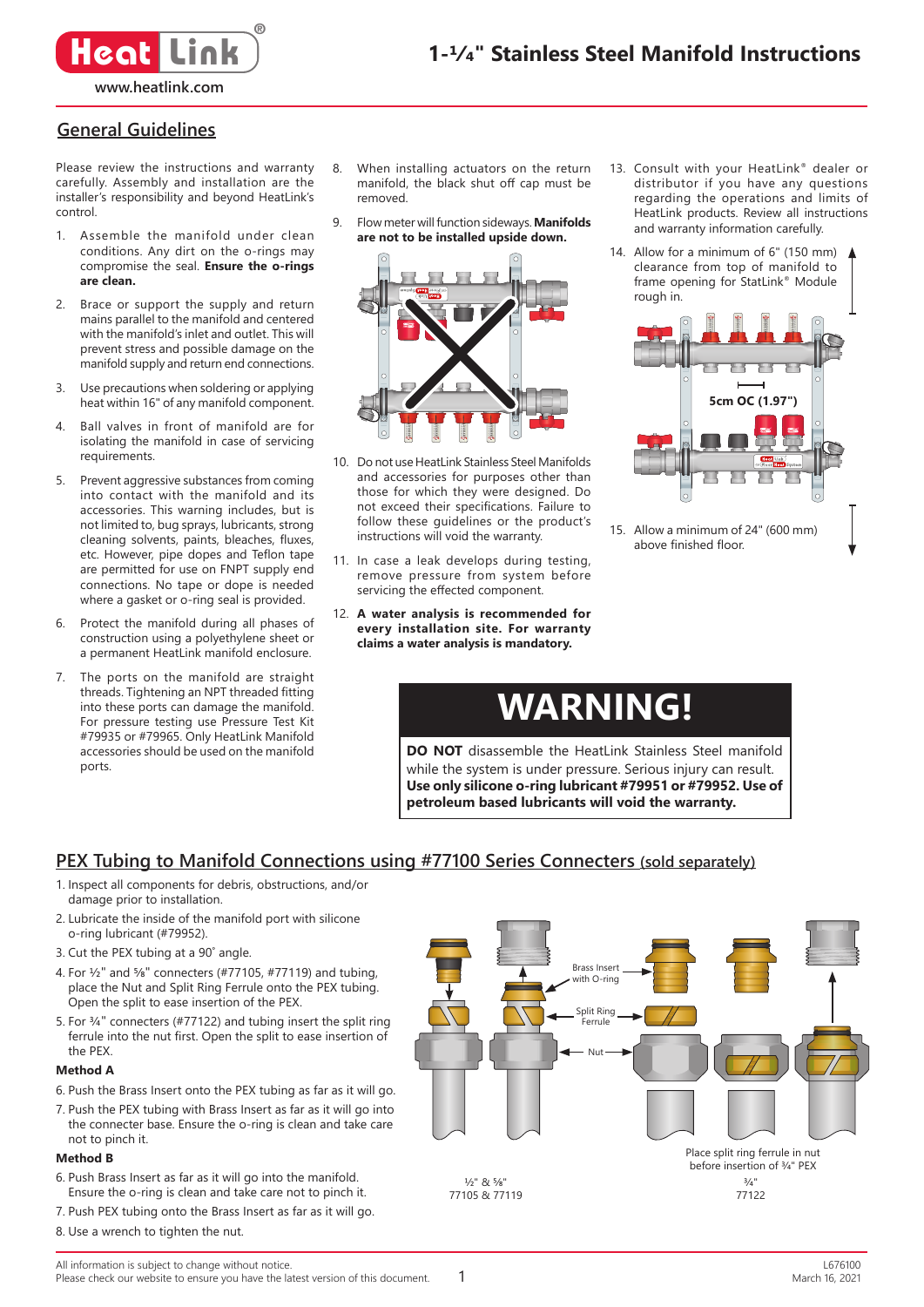

### **General Guidelines**

Please review the instructions and warranty carefully. Assembly and installation are the installer's responsibility and beyond HeatLink's control.

- 1. Assemble the manifold under clean conditions. Any dirt on the o-rings may compromise the seal. **Ensure the o-rings are clean.**
- 2. Brace or support the supply and return mains parallel to the manifold and centered with the manifold's inlet and outlet. This will prevent stress and possible damage on the manifold supply and return end connections.
- 3. Use precautions when soldering or applying heat within 16" of any manifold component.
- Ball valves in front of manifold are for isolating the manifold in case of servicing requirements.
- 5. Prevent aggressive substances from coming into contact with the manifold and its accessories. This warning includes, but is not limited to, bug sprays, lubricants, strong cleaning solvents, paints, bleaches, fluxes, etc. However, pipe dopes and Teflon tape are permitted for use on FNPT supply end connections. No tape or dope is needed where a gasket or o-ring seal is provided.
- 6. Protect the manifold during all phases of construction using a polyethylene sheet or a permanent HeatLink manifold enclosure.
- 7. The ports on the manifold are straight threads. Tightening an NPT threaded fitting into these ports can damage the manifold. For pressure testing use Pressure Test Kit #79935 or #79965. Only HeatLink Manifold accessories should be used on the manifold ports.
- 8. When installing actuators on the return manifold, the black shut off cap must be removed.
- 9. Flow meter will function sideways. **Manifolds are not to be installed upside down.**



- 10. Do not use HeatLink Stainless Steel Manifolds and accessories for purposes other than those for which they were designed. Do not exceed their specifications. Failure to follow these guidelines or the product's instructions will void the warranty.
- 11. In case a leak develops during testing, remove pressure from system before servicing the effected component.
- 12. **A water analysis is recommended for every installation site. For warranty claims a water analysis is mandatory.**
- 13. Consult with your HeatLink® dealer or distributor if you have any questions regarding the operations and limits of HeatLink products. Review all instructions and warranty information carefully.
- 14. Allow for a minimum of 6" (150 mm) clearance from top of manifold to frame opening for StatLink® Module rough in.



15. Allow a minimum of 24" (600 mm) above finished floor.

# **WARNING!**

**DO NOT** disassemble the HeatLink Stainless Steel manifold while the system is under pressure. Serious injury can result. **Use only silicone o-ring lubricant #79951 or #79952. Use of petroleum based lubricants will void the warranty.**

### **PEX Tubing to Manifold Connections using #77100 Series Connecters (sold separately)**

- 1. Inspect all components for debris, obstructions, and/or damage prior to installation.
- 2. Lubricate the inside of the manifold port with silicone o-ring lubricant (#79952).
- 3. Cut the PEX tubing at a 90˚ angle.
- 4. For ½" and ⅝" connecters (#77105, #77119) and tubing, place the Nut and Split Ring Ferrule onto the PEX tubing. Open the split to ease insertion of the PEX.
- 5. For ¾" connecters (#77122) and tubing insert the split ring ferrule into the nut first. Open the split to ease insertion of the PEX.

### **Method A**

- 6. Push the Brass Insert onto the PEX tubing as far as it will go.
- 7. Push the PEX tubing with Brass Insert as far as it will go into the connecter base. Ensure the o-ring is clean and take care not to pinch it.

#### **Method B**

- 6. Push Brass Insert as far as it will go into the manifold. Ensure the o-ring is clean and take care not to pinch it.
- 7. Push PEX tubing onto the Brass Insert as far as it will go.
- 8. Use a wrench to tighten the nut.

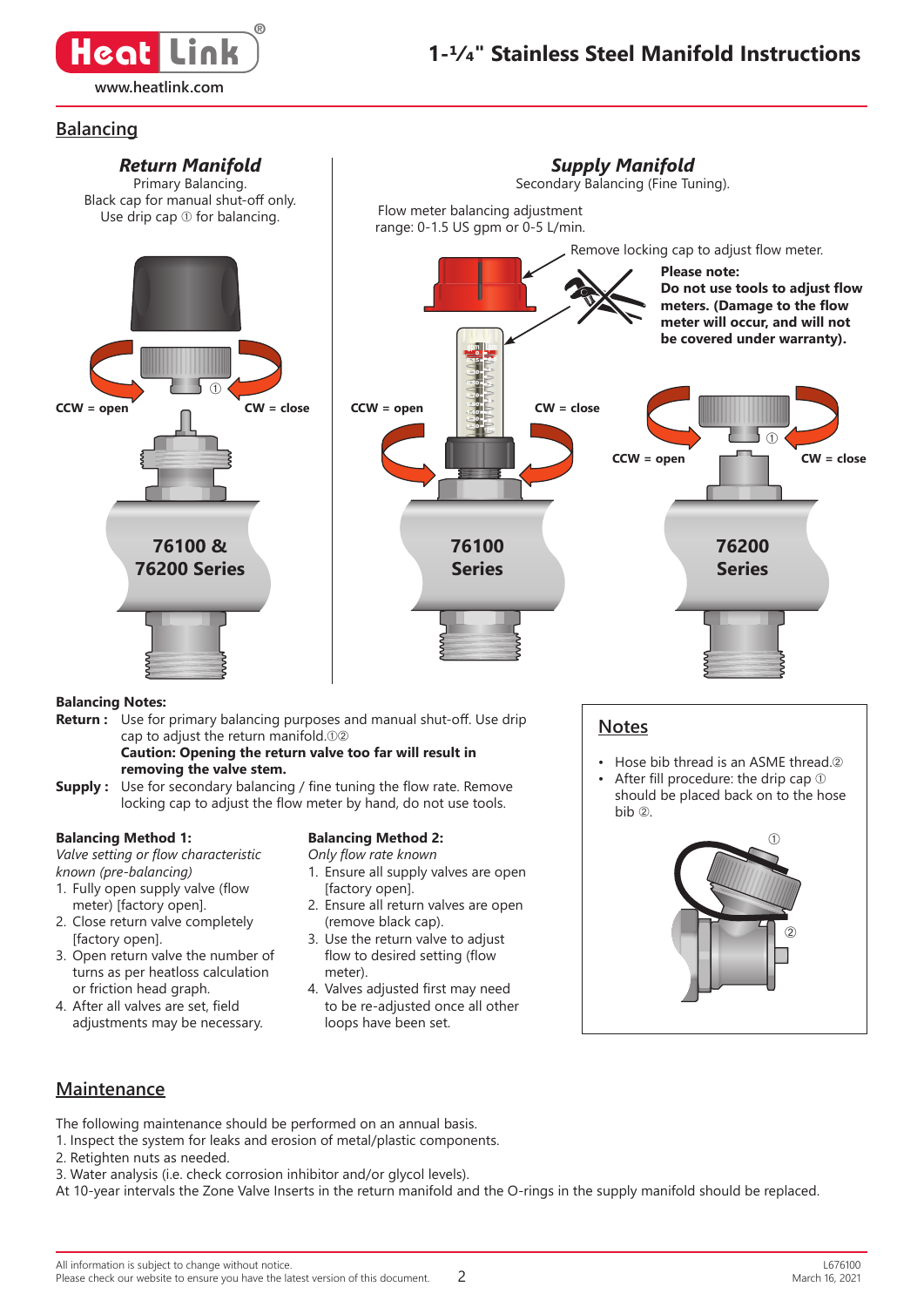

### **Balancing**



### **Balancing Method 1:**

*Valve setting or flow characteristic known (pre-balancing)*

- 1. Fully open supply valve (flow meter) [factory open].
- 2. Close return valve completely [factory open].
- 3. Open return valve the number of turns as per heatloss calculation or friction head graph.
- 4. After all valves are set, field adjustments may be necessary.

#### **Balancing Method 2:**

*Only flow rate known*

- 1. Ensure all supply valves are open [factory open].
- 2. Ensure all return valves are open (remove black cap).
- 3. Use the return valve to adjust flow to desired setting (flow meter).
- 4. Valves adjusted first may need to be re-adjusted once all other loops have been set.

should be placed back on to the hose bib ➁.



### **Maintenance**

The following maintenance should be performed on an annual basis.

- 1. Inspect the system for leaks and erosion of metal/plastic components.
- 2. Retighten nuts as needed.
- 3. Water analysis (i.e. check corrosion inhibitor and/or glycol levels).
- At 10-year intervals the Zone Valve Inserts in the return manifold and the O-rings in the supply manifold should be replaced.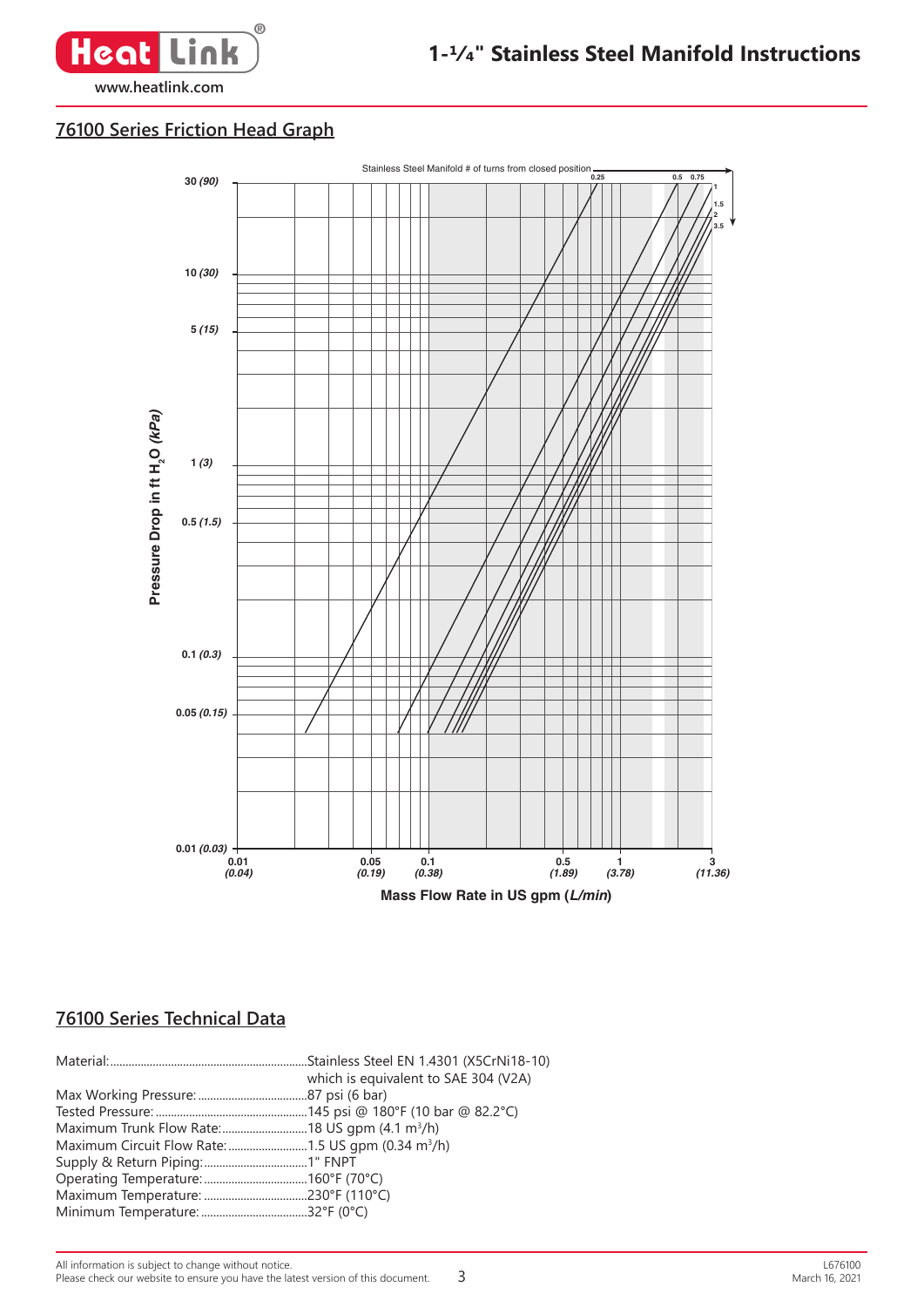

## **76100 Series Friction Head Graph**



3

### **76100 Series Technical Data**

| which is equivalent to SAE 304 (V2A) |
|--------------------------------------|
|                                      |
|                                      |
|                                      |
|                                      |
|                                      |
|                                      |
|                                      |
|                                      |